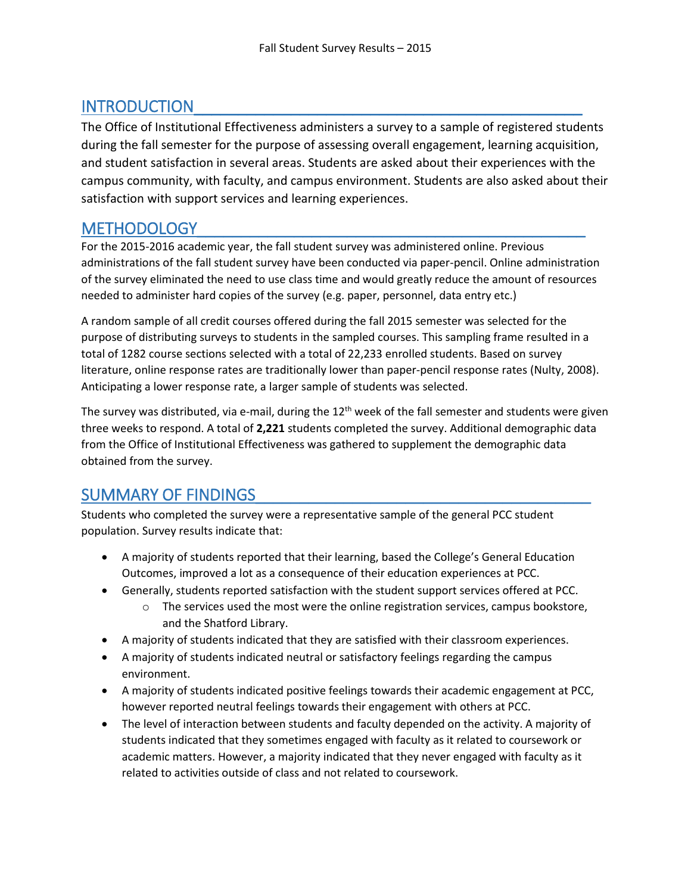# INTRODUCTION

The Office of Institutional Effectiveness administers a survey to a sample of registered students during the fall semester for the purpose of assessing overall engagement, learning acquisition, and student satisfaction in several areas. Students are asked about their experiences with the campus community, with faculty, and campus environment. Students are also asked about their satisfaction with support services and learning experiences.

### METHODOLOGY\_\_\_\_\_\_\_\_\_\_\_\_\_\_\_\_\_\_\_\_\_\_\_\_\_\_\_\_\_\_\_\_\_\_\_\_\_\_\_\_\_\_\_\_

For the 2015-2016 academic year, the fall student survey was administered online. Previous administrations of the fall student survey have been conducted via paper-pencil. Online administration of the survey eliminated the need to use class time and would greatly reduce the amount of resources needed to administer hard copies of the survey (e.g. paper, personnel, data entry etc.)

A random sample of all credit courses offered during the fall 2015 semester was selected for the purpose of distributing surveys to students in the sampled courses. This sampling frame resulted in a total of 1282 course sections selected with a total of 22,233 enrolled students. Based on survey literature, online response rates are traditionally lower than paper-pencil response rates (Nulty, 2008). Anticipating a lower response rate, a larger sample of students was selected.

The survey was distributed, via e-mail, during the  $12<sup>th</sup>$  week of the fall semester and students were given three weeks to respond. A total of **2,221** students completed the survey. Additional demographic data from the Office of Institutional Effectiveness was gathered to supplement the demographic data obtained from the survey.

# SUMMARY OF FINDINGS

Students who completed the survey were a representative sample of the general PCC student population. Survey results indicate that:

- A majority of students reported that their learning, based the College's General Education Outcomes, improved a lot as a consequence of their education experiences at PCC.
- Generally, students reported satisfaction with the student support services offered at PCC.
	- $\circ$  The services used the most were the online registration services, campus bookstore, and the Shatford Library.
- A majority of students indicated that they are satisfied with their classroom experiences.
- A majority of students indicated neutral or satisfactory feelings regarding the campus environment.
- A majority of students indicated positive feelings towards their academic engagement at PCC, however reported neutral feelings towards their engagement with others at PCC.
- The level of interaction between students and faculty depended on the activity. A majority of students indicated that they sometimes engaged with faculty as it related to coursework or academic matters. However, a majority indicated that they never engaged with faculty as it related to activities outside of class and not related to coursework.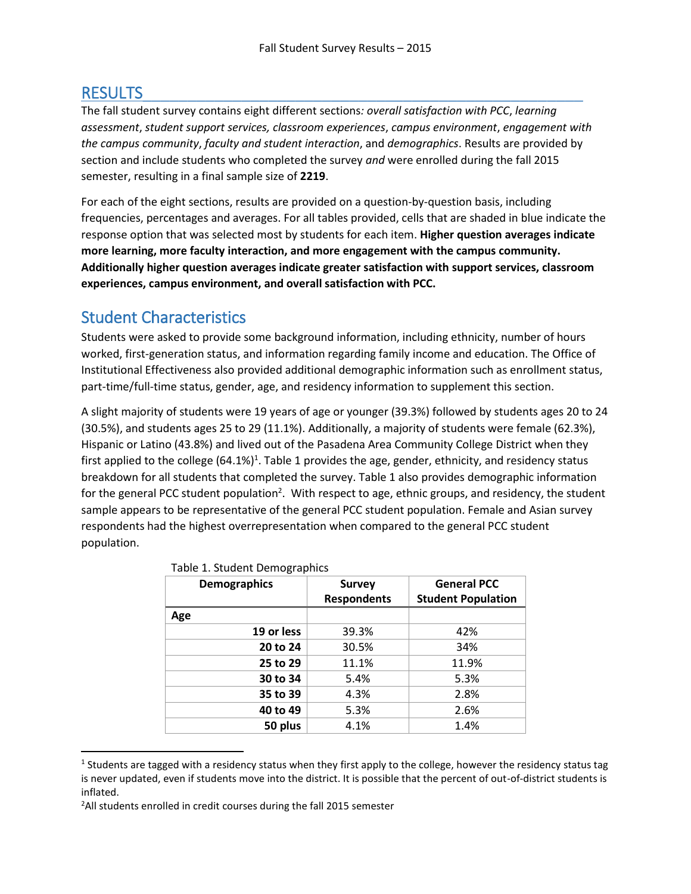# RESULTS\_\_\_\_\_\_\_\_\_\_\_\_\_\_\_\_\_\_\_\_\_\_\_\_\_\_\_\_\_\_\_\_\_\_\_\_\_\_\_\_\_\_\_\_\_\_\_\_\_

 $\overline{a}$ 

The fall student survey contains eight different sections*: overall satisfaction with PCC*, *learning assessment*, *student support services, classroom experiences*, *campus environment*, *engagement with the campus community*, *faculty and student interaction*, and *demographics*. Results are provided by section and include students who completed the survey *and* were enrolled during the fall 2015 semester, resulting in a final sample size of **2219**.

For each of the eight sections, results are provided on a question-by-question basis, including frequencies, percentages and averages. For all tables provided, cells that are shaded in blue indicate the response option that was selected most by students for each item. **Higher question averages indicate more learning, more faculty interaction, and more engagement with the campus community. Additionally higher question averages indicate greater satisfaction with support services, classroom experiences, campus environment, and overall satisfaction with PCC.** 

### Student Characteristics

Students were asked to provide some background information, including ethnicity, number of hours worked, first-generation status, and information regarding family income and education. The Office of Institutional Effectiveness also provided additional demographic information such as enrollment status, part-time/full-time status, gender, age, and residency information to supplement this section.

A slight majority of students were 19 years of age or younger (39.3%) followed by students ages 20 to 24 (30.5%), and students ages 25 to 29 (11.1%). Additionally, a majority of students were female (62.3%), Hispanic or Latino (43.8%) and lived out of the Pasadena Area Community College District when they first applied to the college (64.1%)<sup>1</sup>. Table 1 provides the age, gender, ethnicity, and residency status breakdown for all students that completed the survey. Table 1 also provides demographic information for the general PCC student population<sup>2</sup>. With respect to age, ethnic groups, and residency, the student sample appears to be representative of the general PCC student population. Female and Asian survey respondents had the highest overrepresentation when compared to the general PCC student population.

| <b>Demographics</b> | <b>Survey</b>      | <b>General PCC</b>        |  |  |
|---------------------|--------------------|---------------------------|--|--|
|                     | <b>Respondents</b> | <b>Student Population</b> |  |  |
| Age                 |                    |                           |  |  |
| 19 or less          | 39.3%              | 42%                       |  |  |
| 20 to 24            | 30.5%              | 34%                       |  |  |
| 25 to 29            | 11.1%              | 11.9%                     |  |  |
| 30 to 34            | 5.4%               | 5.3%                      |  |  |
| 35 to 39            | 4.3%               | 2.8%                      |  |  |
| 40 to 49            | 5.3%               | 2.6%                      |  |  |
| 50 plus             | 4.1%               | 1.4%                      |  |  |

### Table 1. Student Demographics

<sup>&</sup>lt;sup>1</sup> Students are tagged with a residency status when they first apply to the college, however the residency status tag is never updated, even if students move into the district. It is possible that the percent of out-of-district students is inflated.

<sup>&</sup>lt;sup>2</sup>All students enrolled in credit courses during the fall 2015 semester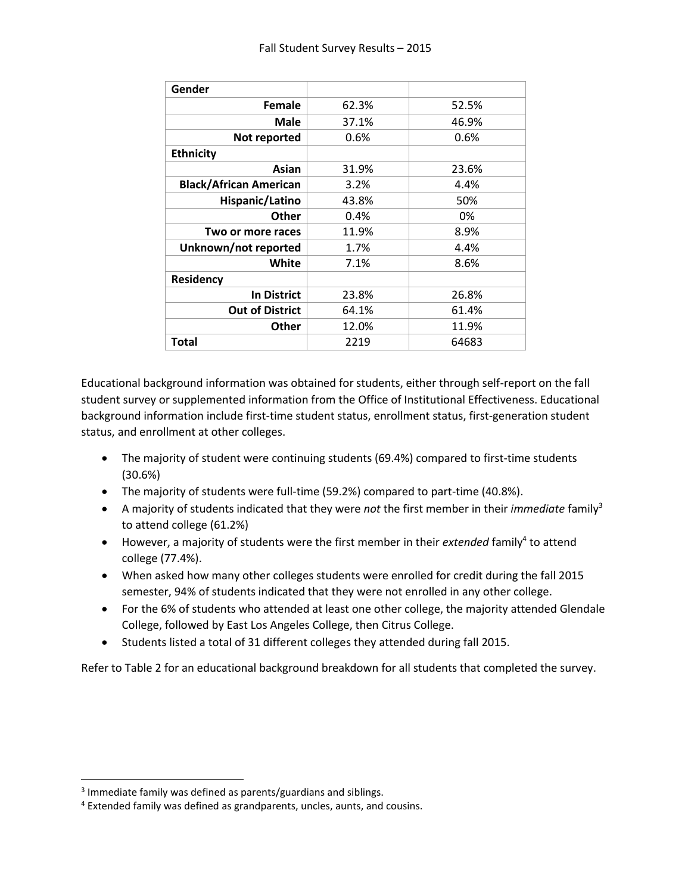| Gender                        |       |       |
|-------------------------------|-------|-------|
| Female                        | 62.3% | 52.5% |
| Male                          | 37.1% | 46.9% |
| Not reported                  | 0.6%  | 0.6%  |
| <b>Ethnicity</b>              |       |       |
| Asian                         | 31.9% | 23.6% |
| <b>Black/African American</b> | 3.2%  | 4.4%  |
| Hispanic/Latino               | 43.8% | 50%   |
| <b>Other</b>                  | 0.4%  | 0%    |
| Two or more races             | 11.9% | 8.9%  |
| Unknown/not reported          | 1.7%  | 4.4%  |
| White                         | 7.1%  | 8.6%  |
| <b>Residency</b>              |       |       |
| <b>In District</b>            | 23.8% | 26.8% |
| <b>Out of District</b>        | 64.1% | 61.4% |
| <b>Other</b>                  | 12.0% | 11.9% |
| Total                         | 2219  | 64683 |

Educational background information was obtained for students, either through self-report on the fall student survey or supplemented information from the Office of Institutional Effectiveness. Educational background information include first-time student status, enrollment status, first-generation student status, and enrollment at other colleges.

- The majority of student were continuing students (69.4%) compared to first-time students (30.6%)
- The majority of students were full-time (59.2%) compared to part-time (40.8%).
- A majority of students indicated that they were *not* the first member in their *immediate* family<sup>3</sup> to attend college (61.2%)
- However, a majority of students were the first member in their *extended* family<sup>4</sup> to attend college (77.4%).
- When asked how many other colleges students were enrolled for credit during the fall 2015 semester, 94% of students indicated that they were not enrolled in any other college.
- For the 6% of students who attended at least one other college, the majority attended Glendale College, followed by East Los Angeles College, then Citrus College.
- Students listed a total of 31 different colleges they attended during fall 2015.

Refer to Table 2 for an educational background breakdown for all students that completed the survey.

l

 $3$  Immediate family was defined as parents/guardians and siblings.

<sup>4</sup> Extended family was defined as grandparents, uncles, aunts, and cousins.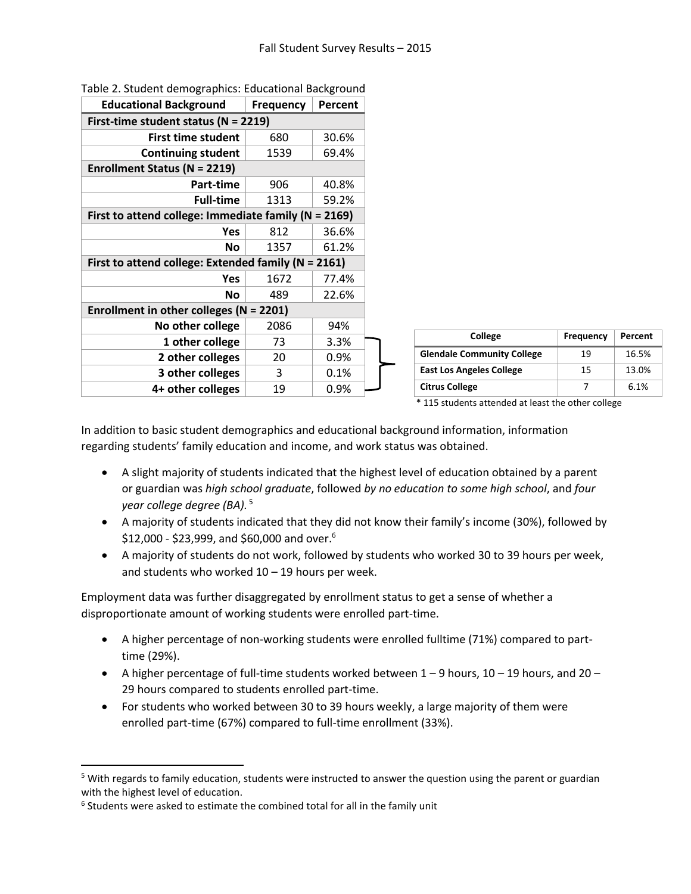| <b>Educational Background</b><br>Frequency<br>Percent    |  |  |  |
|----------------------------------------------------------|--|--|--|
| First-time student status ( $N = 2219$ )                 |  |  |  |
| <b>First time student</b><br>30.6%<br>680                |  |  |  |
| <b>Continuing student</b><br>1539<br>69.4%               |  |  |  |
| <b>Enrollment Status (N = 2219)</b>                      |  |  |  |
| Part-time<br>906<br>40.8%                                |  |  |  |
| <b>Full-time</b><br>1313<br>59.2%                        |  |  |  |
| First to attend college: Immediate family ( $N = 2169$ ) |  |  |  |
| 812<br>36.6%<br>Yes                                      |  |  |  |
| 61.2%<br>1357<br>No                                      |  |  |  |
| First to attend college: Extended family (N = 2161)      |  |  |  |
| 1672<br>77.4%<br>Yes                                     |  |  |  |
| 22.6%<br>489<br>Νo                                       |  |  |  |
| Enrollment in other colleges ( $N = 2201$ )              |  |  |  |
| No other college<br>2086<br>94%                          |  |  |  |
| 1 other college<br>73<br>3.3%                            |  |  |  |
| 2 other colleges<br>20<br>0.9%                           |  |  |  |
| 3 other colleges<br>0.1%<br>3                            |  |  |  |
| 4+ other colleges<br>19<br>0.9%                          |  |  |  |

Table 2. Student demographics: Educational Background

| College                           | Frequency | Percent |
|-----------------------------------|-----------|---------|
| <b>Glendale Community College</b> | 19        | 16.5%   |
| <b>East Los Angeles College</b>   | 15        | 13.0%   |
| <b>Citrus College</b>             |           | 6.1%    |

\* 115 students attended at least the other college

In addition to basic student demographics and educational background information, information regarding students' family education and income, and work status was obtained.

- A slight majority of students indicated that the highest level of education obtained by a parent or guardian was *high school graduate*, followed *by no education to some high school*, and *four year college degree (BA).* <sup>5</sup>
- A majority of students indicated that they did not know their family's income (30%), followed by  $$12,000$  - \$23,999, and \$60,000 and over. $^6$
- A majority of students do not work, followed by students who worked 30 to 39 hours per week, and students who worked  $10 - 19$  hours per week.

Employment data was further disaggregated by enrollment status to get a sense of whether a disproportionate amount of working students were enrolled part-time.

- A higher percentage of non-working students were enrolled fulltime (71%) compared to parttime (29%).
- A higher percentage of full-time students worked between  $1 9$  hours,  $10 19$  hours, and  $20 19$ 29 hours compared to students enrolled part-time.
- For students who worked between 30 to 39 hours weekly, a large majority of them were enrolled part-time (67%) compared to full-time enrollment (33%).

 $\overline{\phantom{a}}$ 

<sup>&</sup>lt;sup>5</sup> With regards to family education, students were instructed to answer the question using the parent or guardian with the highest level of education.

 $6$  Students were asked to estimate the combined total for all in the family unit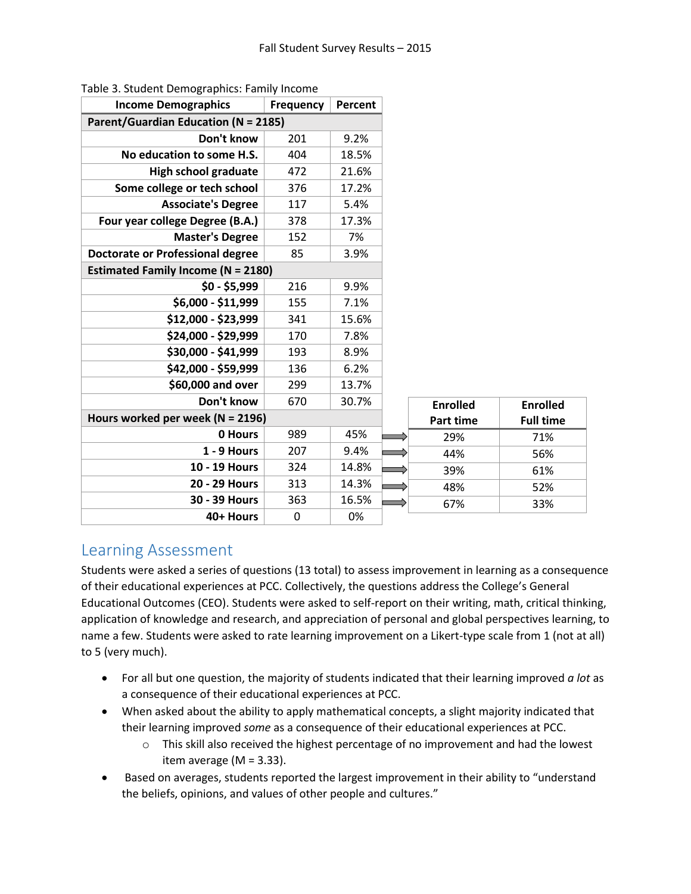| <b>Income Demographics</b>                  | <b>Frequency</b> | Percent |  |                  |                  |
|---------------------------------------------|------------------|---------|--|------------------|------------------|
| <b>Parent/Guardian Education (N = 2185)</b> |                  |         |  |                  |                  |
| Don't know<br>201<br>9.2%                   |                  |         |  |                  |                  |
| No education to some H.S.                   | 404              | 18.5%   |  |                  |                  |
| <b>High school graduate</b>                 | 472              | 21.6%   |  |                  |                  |
| Some college or tech school                 | 376              | 17.2%   |  |                  |                  |
| <b>Associate's Degree</b>                   | 117              | 5.4%    |  |                  |                  |
| Four year college Degree (B.A.)             | 378              | 17.3%   |  |                  |                  |
| <b>Master's Degree</b>                      | 152              | 7%      |  |                  |                  |
| <b>Doctorate or Professional degree</b>     | 85               | 3.9%    |  |                  |                  |
| <b>Estimated Family Income (N = 2180)</b>   |                  |         |  |                  |                  |
| $$0 - $5,999$                               | 216              | 9.9%    |  |                  |                  |
| \$6,000 - \$11,999                          | 155              | 7.1%    |  |                  |                  |
| \$12,000 - \$23,999                         | 341              | 15.6%   |  |                  |                  |
| \$24,000 - \$29,999                         | 170              | 7.8%    |  |                  |                  |
| \$30,000 - \$41,999                         | 193              | 8.9%    |  |                  |                  |
| \$42,000 - \$59,999                         | 136              | 6.2%    |  |                  |                  |
| \$60,000 and over                           | 299              | 13.7%   |  |                  |                  |
| Don't know                                  | 670              | 30.7%   |  | <b>Enrolled</b>  | <b>Enrolled</b>  |
| Hours worked per week ( $N = 2196$ )        |                  |         |  | <b>Part time</b> | <b>Full time</b> |
| 0 Hours                                     | 989              | 45%     |  | 29%              | 71%              |
| 1 - 9 Hours                                 | 207              | 9.4%    |  | 44%              | 56%              |
| 10 - 19 Hours                               | 324              | 14.8%   |  | 39%              | 61%              |
| 20 - 29 Hours                               | 313              | 14.3%   |  | 48%              | 52%              |
| 30 - 39 Hours                               | 363              | 16.5%   |  | 67%              | 33%              |
| 40+ Hours                                   | 0                | 0%      |  |                  |                  |

|  | Table 3. Student Demographics: Family Income |  |
|--|----------------------------------------------|--|
|  |                                              |  |

### Learning Assessment

Students were asked a series of questions (13 total) to assess improvement in learning as a consequence of their educational experiences at PCC. Collectively, the questions address the College's General Educational Outcomes (CEO). Students were asked to self-report on their writing, math, critical thinking, application of knowledge and research, and appreciation of personal and global perspectives learning, to name a few. Students were asked to rate learning improvement on a Likert-type scale from 1 (not at all) to 5 (very much).

- For all but one question, the majority of students indicated that their learning improved *a lot* as a consequence of their educational experiences at PCC.
- When asked about the ability to apply mathematical concepts, a slight majority indicated that their learning improved *some* as a consequence of their educational experiences at PCC.
	- $\circ$  This skill also received the highest percentage of no improvement and had the lowest item average ( $M = 3.33$ ).
- Based on averages, students reported the largest improvement in their ability to "understand the beliefs, opinions, and values of other people and cultures."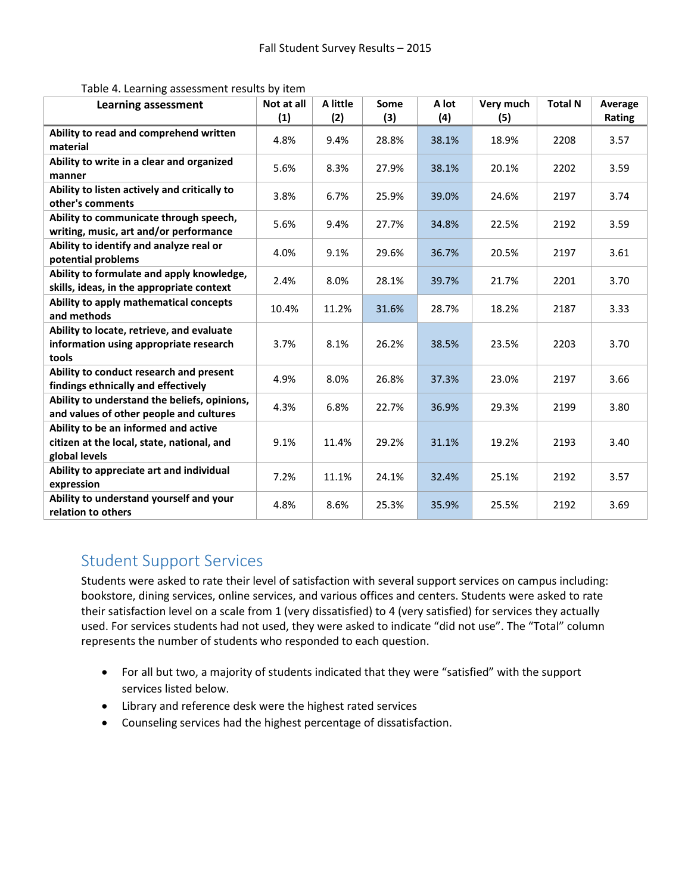| Table 4. Learning assessment results by item |
|----------------------------------------------|
|----------------------------------------------|

| <b>Learning assessment</b>                                                                          | Not at all | A little | Some  | A lot | Very much | <b>Total N</b> | Average |
|-----------------------------------------------------------------------------------------------------|------------|----------|-------|-------|-----------|----------------|---------|
|                                                                                                     | (1)        | (2)      | (3)   | (4)   | (5)       |                | Rating  |
| Ability to read and comprehend written<br>material                                                  | 4.8%       | 9.4%     | 28.8% | 38.1% | 18.9%     | 2208           | 3.57    |
| Ability to write in a clear and organized<br>manner                                                 | 5.6%       | 8.3%     | 27.9% | 38.1% | 20.1%     | 2202           | 3.59    |
| Ability to listen actively and critically to<br>other's comments                                    | 3.8%       | 6.7%     | 25.9% | 39.0% | 24.6%     | 2197           | 3.74    |
| Ability to communicate through speech,<br>writing, music, art and/or performance                    | 5.6%       | 9.4%     | 27.7% | 34.8% | 22.5%     | 2192           | 3.59    |
| Ability to identify and analyze real or<br>potential problems                                       | 4.0%       | 9.1%     | 29.6% | 36.7% | 20.5%     | 2197           | 3.61    |
| Ability to formulate and apply knowledge,<br>skills, ideas, in the appropriate context              | 2.4%       | 8.0%     | 28.1% | 39.7% | 21.7%     | 2201           | 3.70    |
| Ability to apply mathematical concepts<br>and methods                                               | 10.4%      | 11.2%    | 31.6% | 28.7% | 18.2%     | 2187           | 3.33    |
| Ability to locate, retrieve, and evaluate<br>information using appropriate research<br>tools        | 3.7%       | 8.1%     | 26.2% | 38.5% | 23.5%     | 2203           | 3.70    |
| Ability to conduct research and present<br>findings ethnically and effectively                      | 4.9%       | 8.0%     | 26.8% | 37.3% | 23.0%     | 2197           | 3.66    |
| Ability to understand the beliefs, opinions,<br>and values of other people and cultures             | 4.3%       | 6.8%     | 22.7% | 36.9% | 29.3%     | 2199           | 3.80    |
| Ability to be an informed and active<br>citizen at the local, state, national, and<br>global levels | 9.1%       | 11.4%    | 29.2% | 31.1% | 19.2%     | 2193           | 3.40    |
| Ability to appreciate art and individual<br>expression                                              | 7.2%       | 11.1%    | 24.1% | 32.4% | 25.1%     | 2192           | 3.57    |
| Ability to understand yourself and your<br>relation to others                                       | 4.8%       | 8.6%     | 25.3% | 35.9% | 25.5%     | 2192           | 3.69    |

### Student Support Services

Students were asked to rate their level of satisfaction with several support services on campus including: bookstore, dining services, online services, and various offices and centers. Students were asked to rate their satisfaction level on a scale from 1 (very dissatisfied) to 4 (very satisfied) for services they actually used. For services students had not used, they were asked to indicate "did not use". The "Total" column represents the number of students who responded to each question.

- For all but two, a majority of students indicated that they were "satisfied" with the support services listed below.
- Library and reference desk were the highest rated services
- Counseling services had the highest percentage of dissatisfaction.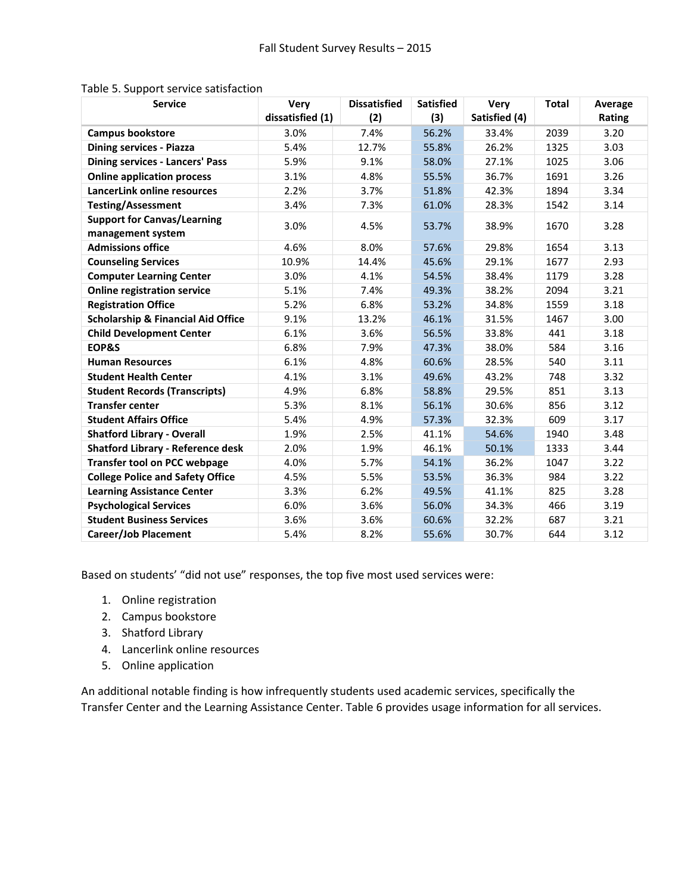| <b>Service</b>                                          | Very             | <b>Dissatisfied</b> | <b>Satisfied</b> | <b>Very</b>   | <b>Total</b> | Average |
|---------------------------------------------------------|------------------|---------------------|------------------|---------------|--------------|---------|
|                                                         | dissatisfied (1) | (2)                 | (3)              | Satisfied (4) |              | Rating  |
| <b>Campus bookstore</b>                                 | 3.0%             | 7.4%                | 56.2%            | 33.4%         | 2039         | 3.20    |
| <b>Dining services - Piazza</b>                         | 5.4%             | 12.7%               | 26.2%<br>55.8%   |               | 1325         | 3.03    |
| <b>Dining services - Lancers' Pass</b>                  | 5.9%             | 9.1%                | 58.0%            | 27.1%         | 1025         | 3.06    |
| <b>Online application process</b>                       | 3.1%             | 4.8%                | 55.5%            | 36.7%         | 1691         | 3.26    |
| LancerLink online resources                             | 2.2%             | 3.7%                | 51.8%            | 42.3%         | 1894         | 3.34    |
| <b>Testing/Assessment</b>                               | 3.4%             | 7.3%                | 61.0%            | 28.3%         | 1542         | 3.14    |
| <b>Support for Canvas/Learning</b><br>management system | 3.0%             | 4.5%                | 53.7%            | 38.9%         | 1670         | 3.28    |
| <b>Admissions office</b>                                | 4.6%             | 8.0%                | 57.6%            | 29.8%         | 1654         | 3.13    |
| <b>Counseling Services</b>                              | 10.9%            | 14.4%               | 45.6%            | 29.1%         | 1677         | 2.93    |
| <b>Computer Learning Center</b>                         | 3.0%             | 4.1%                | 54.5%            | 38.4%         | 1179         | 3.28    |
| <b>Online registration service</b>                      | 5.1%             | 7.4%                | 49.3%            | 38.2%         | 2094         | 3.21    |
| <b>Registration Office</b>                              | 5.2%             | 6.8%                | 53.2%            | 34.8%         | 1559         | 3.18    |
| <b>Scholarship &amp; Financial Aid Office</b>           | 9.1%             | 13.2%               | 46.1%            | 31.5%         | 1467         | 3.00    |
| <b>Child Development Center</b>                         | 6.1%             | 3.6%                | 56.5%            | 33.8%         | 441          | 3.18    |
| EOP&S                                                   | 6.8%             | 7.9%                | 47.3%            | 38.0%         | 584          | 3.16    |
| <b>Human Resources</b>                                  | 6.1%             | 4.8%                | 60.6%            | 28.5%         | 540          | 3.11    |
| <b>Student Health Center</b>                            | 4.1%             | 3.1%                | 49.6%            | 43.2%         | 748          | 3.32    |
| <b>Student Records (Transcripts)</b>                    | 4.9%             | 6.8%                | 58.8%            | 29.5%         | 851          | 3.13    |
| <b>Transfer center</b>                                  | 5.3%             | 8.1%                | 56.1%            | 30.6%         | 856          | 3.12    |
| <b>Student Affairs Office</b>                           | 5.4%             | 4.9%                | 57.3%            | 32.3%         | 609          | 3.17    |
| <b>Shatford Library - Overall</b>                       | 1.9%             | 2.5%                | 41.1%            | 54.6%         | 1940         | 3.48    |
| <b>Shatford Library - Reference desk</b>                | 2.0%             | 1.9%                | 46.1%            | 50.1%         | 1333         | 3.44    |
| <b>Transfer tool on PCC webpage</b>                     | 4.0%             | 5.7%                | 54.1%            | 36.2%         | 1047         | 3.22    |
| <b>College Police and Safety Office</b>                 | 4.5%             | 5.5%                | 53.5%            | 36.3%         | 984          | 3.22    |
| <b>Learning Assistance Center</b>                       | 3.3%             | 6.2%                | 49.5%            | 41.1%         | 825          | 3.28    |
| <b>Psychological Services</b>                           | 6.0%             | 3.6%                | 56.0%            | 34.3%         | 466          | 3.19    |
| <b>Student Business Services</b>                        | 3.6%             | 3.6%                | 60.6%            | 32.2%         | 687          | 3.21    |
| <b>Career/Job Placement</b>                             | 5.4%             | 8.2%                | 55.6%            | 30.7%         | 644          | 3.12    |

#### Table 5. Support service satisfaction

Based on students' "did not use" responses, the top five most used services were:

- 1. Online registration
- 2. Campus bookstore
- 3. Shatford Library
- 4. Lancerlink online resources
- 5. Online application

An additional notable finding is how infrequently students used academic services, specifically the Transfer Center and the Learning Assistance Center. Table 6 provides usage information for all services.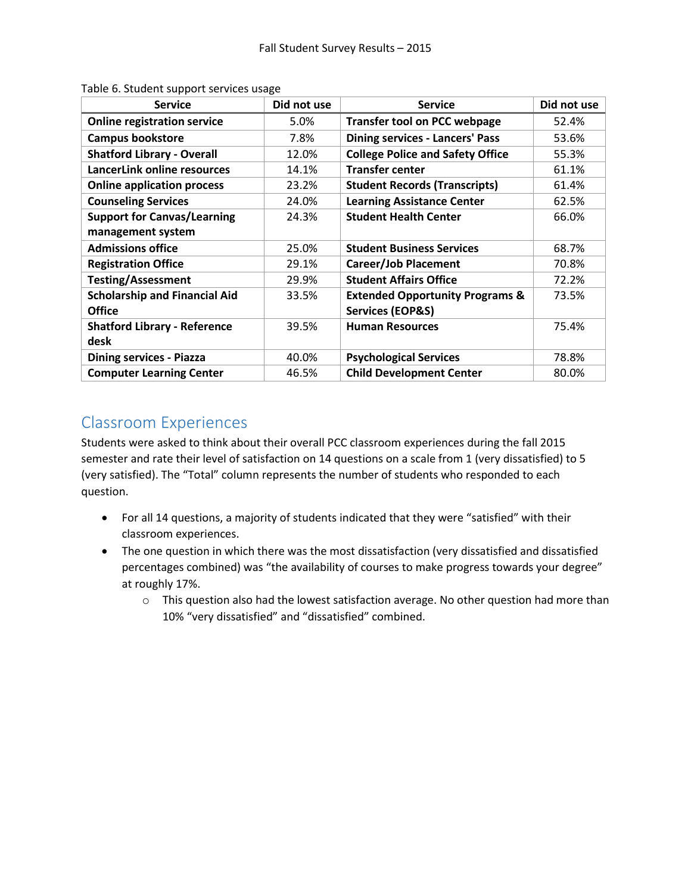| <b>Service</b>                       | Did not use | <b>Service</b>                             | Did not use |
|--------------------------------------|-------------|--------------------------------------------|-------------|
| <b>Online registration service</b>   | 5.0%        | <b>Transfer tool on PCC webpage</b>        | 52.4%       |
| <b>Campus bookstore</b>              | 7.8%        | <b>Dining services - Lancers' Pass</b>     | 53.6%       |
| <b>Shatford Library - Overall</b>    | 12.0%       | <b>College Police and Safety Office</b>    | 55.3%       |
| LancerLink online resources          | 14.1%       | <b>Transfer center</b>                     | 61.1%       |
| <b>Online application process</b>    | 23.2%       | <b>Student Records (Transcripts)</b>       | 61.4%       |
| <b>Counseling Services</b>           | 24.0%       | <b>Learning Assistance Center</b>          | 62.5%       |
| <b>Support for Canvas/Learning</b>   | 24.3%       | <b>Student Health Center</b>               | 66.0%       |
| management system                    |             |                                            |             |
| <b>Admissions office</b>             | 25.0%       | <b>Student Business Services</b>           | 68.7%       |
| <b>Registration Office</b>           | 29.1%       | <b>Career/Job Placement</b>                | 70.8%       |
| <b>Testing/Assessment</b>            | 29.9%       | <b>Student Affairs Office</b>              | 72.2%       |
| <b>Scholarship and Financial Aid</b> | 33.5%       | <b>Extended Opportunity Programs &amp;</b> | 73.5%       |
| <b>Office</b>                        |             | <b>Services (EOP&amp;S)</b>                |             |
| <b>Shatford Library - Reference</b>  | 39.5%       | <b>Human Resources</b>                     | 75.4%       |
| desk                                 |             |                                            |             |
| <b>Dining services - Piazza</b>      | 40.0%       | <b>Psychological Services</b>              | 78.8%       |
| <b>Computer Learning Center</b>      | 46.5%       | <b>Child Development Center</b>            | 80.0%       |

Table 6. Student support services usage

## Classroom Experiences

Students were asked to think about their overall PCC classroom experiences during the fall 2015 semester and rate their level of satisfaction on 14 questions on a scale from 1 (very dissatisfied) to 5 (very satisfied). The "Total" column represents the number of students who responded to each question.

- For all 14 questions, a majority of students indicated that they were "satisfied" with their classroom experiences.
- The one question in which there was the most dissatisfaction (very dissatisfied and dissatisfied percentages combined) was "the availability of courses to make progress towards your degree" at roughly 17%.
	- $\circ$  This question also had the lowest satisfaction average. No other question had more than 10% "very dissatisfied" and "dissatisfied" combined.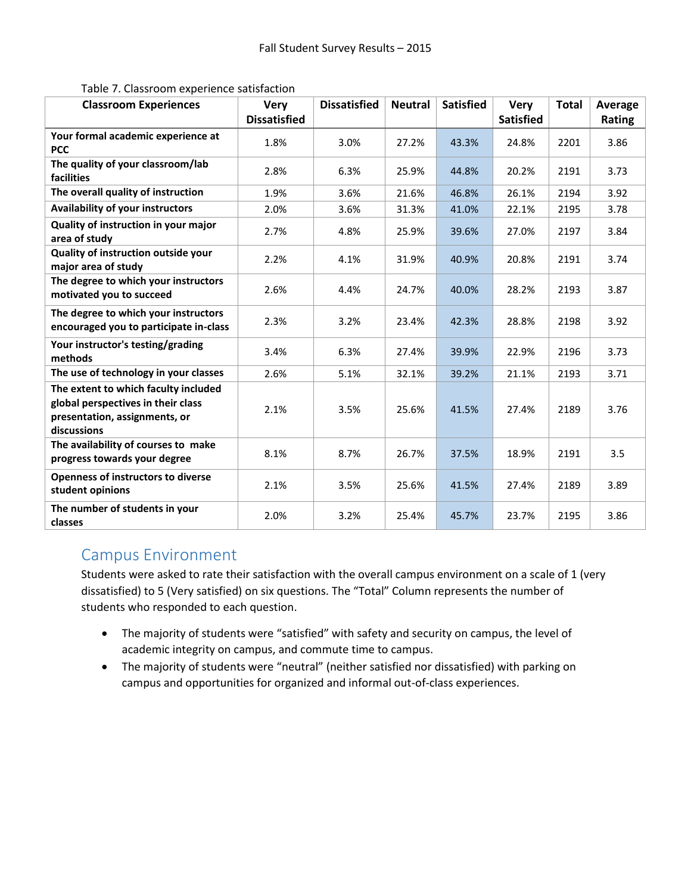| <b>Classroom Experiences</b>                                                                                               | <b>Very</b>         | <b>Dissatisfied</b> | <b>Neutral</b> | <b>Satisfied</b> | <b>Very</b>      | <b>Total</b> | Average |
|----------------------------------------------------------------------------------------------------------------------------|---------------------|---------------------|----------------|------------------|------------------|--------------|---------|
|                                                                                                                            | <b>Dissatisfied</b> |                     |                |                  | <b>Satisfied</b> |              | Rating  |
| Your formal academic experience at<br><b>PCC</b>                                                                           | 1.8%                | 3.0%                | 27.2%          | 43.3%            | 24.8%            | 2201         | 3.86    |
| The quality of your classroom/lab<br>facilities                                                                            | 2.8%                | 6.3%                | 25.9%          | 44.8%            | 20.2%            | 2191         | 3.73    |
| The overall quality of instruction                                                                                         | 1.9%                | 3.6%                | 21.6%          | 46.8%            | 26.1%            | 2194         | 3.92    |
| <b>Availability of your instructors</b>                                                                                    | 2.0%                | 3.6%                | 31.3%          | 41.0%            | 22.1%            | 2195         | 3.78    |
| Quality of instruction in your major<br>area of study                                                                      | 2.7%                | 4.8%                | 25.9%          | 39.6%            | 27.0%            | 2197         | 3.84    |
| Quality of instruction outside your<br>major area of study                                                                 | 2.2%                | 4.1%                | 31.9%          | 40.9%            | 20.8%            | 2191         | 3.74    |
| The degree to which your instructors<br>motivated you to succeed                                                           | 2.6%                | 4.4%                | 24.7%          | 40.0%            | 28.2%            | 2193         | 3.87    |
| The degree to which your instructors<br>encouraged you to participate in-class                                             | 2.3%                | 3.2%                | 23.4%          | 42.3%            | 28.8%            | 2198         | 3.92    |
| Your instructor's testing/grading<br>methods                                                                               | 3.4%                | 6.3%                | 27.4%          | 39.9%            | 22.9%            | 2196         | 3.73    |
| The use of technology in your classes                                                                                      | 2.6%                | 5.1%                | 32.1%          | 39.2%            | 21.1%            | 2193         | 3.71    |
| The extent to which faculty included<br>global perspectives in their class<br>presentation, assignments, or<br>discussions | 2.1%                | 3.5%                | 25.6%          | 41.5%            | 27.4%            | 2189         | 3.76    |
| The availability of courses to make<br>progress towards your degree                                                        | 8.1%                | 8.7%                | 26.7%          | 37.5%            | 18.9%            | 2191         | 3.5     |
| Openness of instructors to diverse<br>student opinions                                                                     | 2.1%                | 3.5%                | 25.6%          | 41.5%            | 27.4%            | 2189         | 3.89    |
| The number of students in your<br>classes                                                                                  | 2.0%                | 3.2%                | 25.4%          | 45.7%            | 23.7%            | 2195         | 3.86    |

Table 7. Classroom experience satisfaction

### Campus Environment

Students were asked to rate their satisfaction with the overall campus environment on a scale of 1 (very dissatisfied) to 5 (Very satisfied) on six questions. The "Total" Column represents the number of students who responded to each question.

- The majority of students were "satisfied" with safety and security on campus, the level of academic integrity on campus, and commute time to campus.
- The majority of students were "neutral" (neither satisfied nor dissatisfied) with parking on campus and opportunities for organized and informal out-of-class experiences.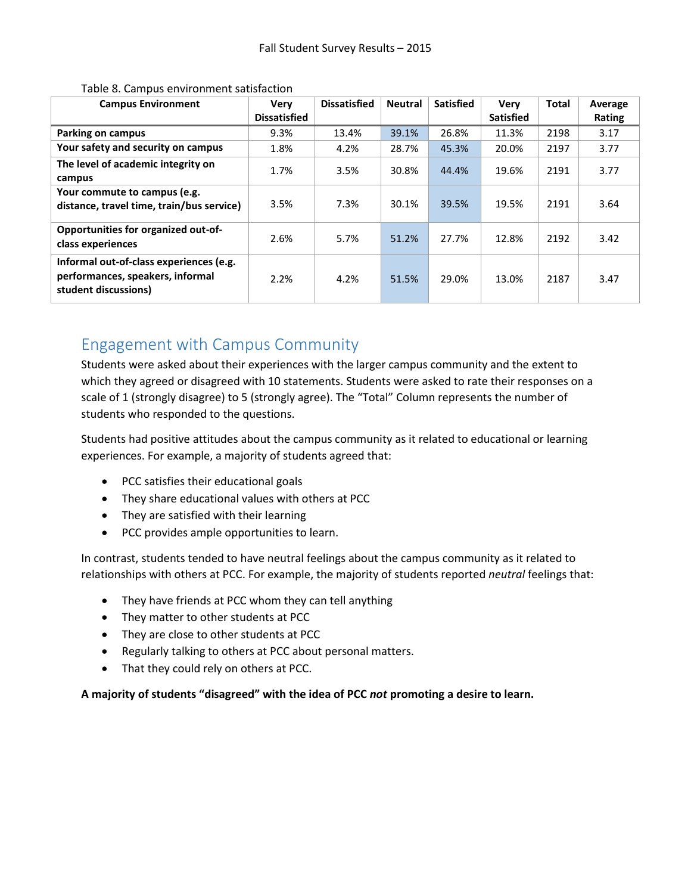| <b>Campus Environment</b>                                                                           | <b>Very</b>         | <b>Dissatisfied</b> | <b>Neutral</b> | <b>Satisfied</b> | <b>Very</b>      | <b>Total</b> | Average |
|-----------------------------------------------------------------------------------------------------|---------------------|---------------------|----------------|------------------|------------------|--------------|---------|
|                                                                                                     | <b>Dissatisfied</b> |                     |                |                  | <b>Satisfied</b> |              | Rating  |
| <b>Parking on campus</b>                                                                            | 9.3%                | 13.4%               | 39.1%          | 26.8%            | 11.3%            | 2198         | 3.17    |
| Your safety and security on campus                                                                  | 1.8%                | 4.2%                | 28.7%          | 45.3%            | 20.0%            | 2197         | 3.77    |
| The level of academic integrity on<br>campus                                                        | 1.7%                | 3.5%                | 30.8%          | 44.4%            | 19.6%            | 2191         | 3.77    |
| Your commute to campus (e.g.<br>distance, travel time, train/bus service)                           | 3.5%                | 7.3%                | 30.1%          | 39.5%            | 19.5%            | 2191         | 3.64    |
| Opportunities for organized out-of-<br>class experiences                                            | 2.6%                | 5.7%                | 51.2%          | 27.7%            | 12.8%            | 2192         | 3.42    |
| Informal out-of-class experiences (e.g.<br>performances, speakers, informal<br>student discussions) | 2.2%                | 4.2%                | 51.5%          | 29.0%            | 13.0%            | 2187         | 3.47    |

#### Table 8. Campus environment satisfaction

## Engagement with Campus Community

Students were asked about their experiences with the larger campus community and the extent to which they agreed or disagreed with 10 statements. Students were asked to rate their responses on a scale of 1 (strongly disagree) to 5 (strongly agree). The "Total" Column represents the number of students who responded to the questions.

Students had positive attitudes about the campus community as it related to educational or learning experiences. For example, a majority of students agreed that:

- PCC satisfies their educational goals
- They share educational values with others at PCC
- They are satisfied with their learning
- PCC provides ample opportunities to learn.

In contrast, students tended to have neutral feelings about the campus community as it related to relationships with others at PCC. For example, the majority of students reported *neutral* feelings that:

- They have friends at PCC whom they can tell anything
- They matter to other students at PCC
- They are close to other students at PCC
- Regularly talking to others at PCC about personal matters.
- That they could rely on others at PCC.

**A majority of students "disagreed" with the idea of PCC** *not* **promoting a desire to learn.**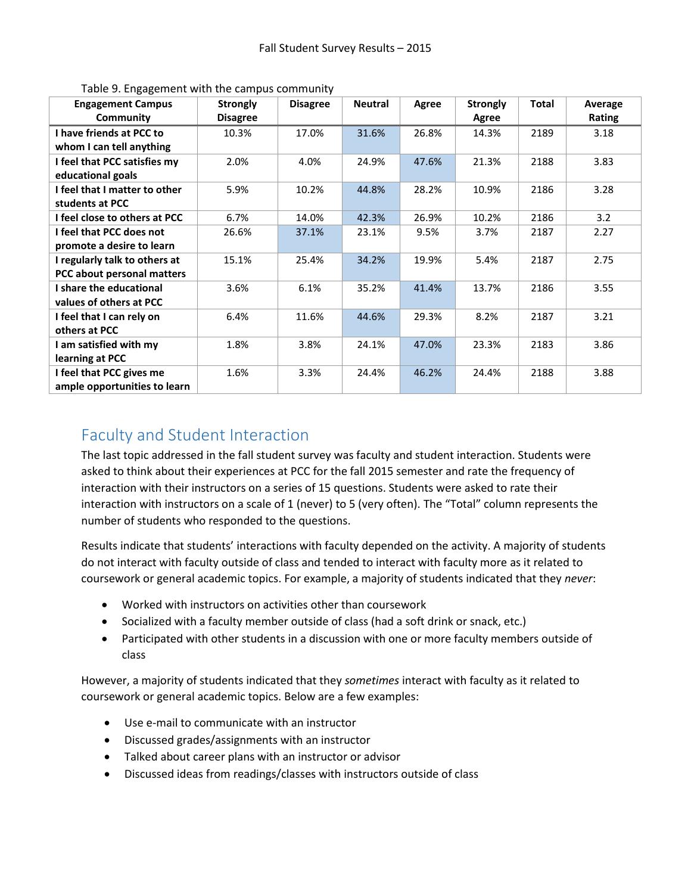| <b>Engagement Campus</b>      | <b>Strongly</b> | <b>Disagree</b> | <b>Neutral</b> | Agree | <b>Strongly</b> | <b>Total</b> | Average |
|-------------------------------|-----------------|-----------------|----------------|-------|-----------------|--------------|---------|
| Community                     | <b>Disagree</b> |                 |                |       | Agree           |              | Rating  |
| I have friends at PCC to      | 10.3%           | 17.0%           | 31.6%          | 26.8% | 14.3%           | 2189         | 3.18    |
| whom I can tell anything      |                 |                 |                |       |                 |              |         |
| I feel that PCC satisfies my  | 2.0%            | 4.0%            | 24.9%          | 47.6% | 21.3%           | 2188         | 3.83    |
| educational goals             |                 |                 |                |       |                 |              |         |
| I feel that I matter to other | 5.9%            | 10.2%           | 44.8%          | 28.2% | 10.9%           | 2186         | 3.28    |
| students at PCC               |                 |                 |                |       |                 |              |         |
| I feel close to others at PCC | 6.7%            | 14.0%           | 42.3%          | 26.9% | 10.2%           | 2186         | 3.2     |
| I feel that PCC does not      | 26.6%           | 37.1%           | 23.1%          | 9.5%  | 3.7%            | 2187         | 2.27    |
| promote a desire to learn     |                 |                 |                |       |                 |              |         |
| I regularly talk to others at | 15.1%           | 25.4%           | 34.2%          | 19.9% | 5.4%            | 2187         | 2.75    |
| PCC about personal matters    |                 |                 |                |       |                 |              |         |
| I share the educational       | 3.6%            | 6.1%            | 35.2%          | 41.4% | 13.7%           | 2186         | 3.55    |
| values of others at PCC       |                 |                 |                |       |                 |              |         |
| I feel that I can rely on     | 6.4%            | 11.6%           | 44.6%          | 29.3% | 8.2%            | 2187         | 3.21    |
| others at PCC                 |                 |                 |                |       |                 |              |         |
| I am satisfied with my        | 1.8%            | 3.8%            | 24.1%          | 47.0% | 23.3%           | 2183         | 3.86    |
| learning at PCC               |                 |                 |                |       |                 |              |         |
| I feel that PCC gives me      | 1.6%            | 3.3%            | 24.4%          | 46.2% | 24.4%           | 2188         | 3.88    |
| ample opportunities to learn  |                 |                 |                |       |                 |              |         |

Table 9. Engagement with the campus community

## Faculty and Student Interaction

The last topic addressed in the fall student survey was faculty and student interaction. Students were asked to think about their experiences at PCC for the fall 2015 semester and rate the frequency of interaction with their instructors on a series of 15 questions. Students were asked to rate their interaction with instructors on a scale of 1 (never) to 5 (very often). The "Total" column represents the number of students who responded to the questions.

Results indicate that students' interactions with faculty depended on the activity. A majority of students do not interact with faculty outside of class and tended to interact with faculty more as it related to coursework or general academic topics. For example, a majority of students indicated that they *never*:

- Worked with instructors on activities other than coursework
- Socialized with a faculty member outside of class (had a soft drink or snack, etc.)
- Participated with other students in a discussion with one or more faculty members outside of class

However, a majority of students indicated that they *sometimes* interact with faculty as it related to coursework or general academic topics. Below are a few examples:

- Use e-mail to communicate with an instructor
- Discussed grades/assignments with an instructor
- Talked about career plans with an instructor or advisor
- Discussed ideas from readings/classes with instructors outside of class